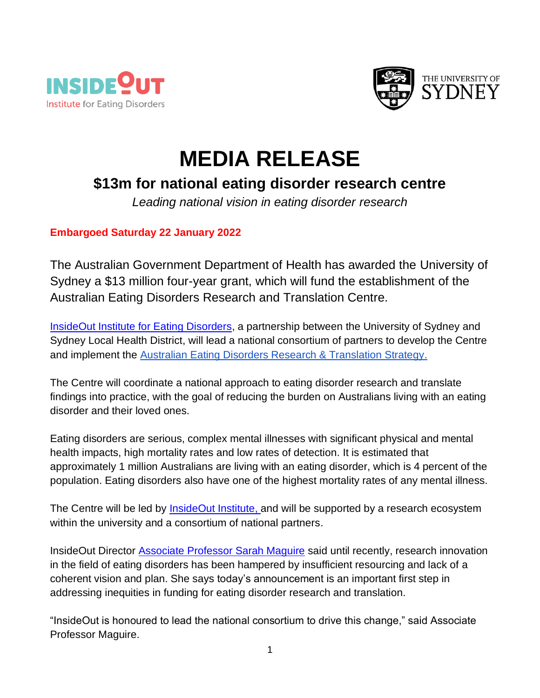



## **MEDIA RELEASE**

## **\$13m for national eating disorder research centre**

*Leading national vision in eating disorder research*

## **Embargoed Saturday 22 January 2022**

The Australian Government Department of Health has awarded the University of Sydney a \$13 million four-year grant, which will fund the establishment of the Australian Eating Disorders Research and Translation Centre.

[InsideOut Institute for Eating Disorders,](https://insideoutinstitute.org.au/) a partnership between the University of Sydney and Sydney Local Health District, will lead a national consortium of partners to develop the Centre and implement the [Australian Eating Disorders Research & Translation Strategy.](https://insideoutinstitute.org.au/national-strategy)

The Centre will coordinate a national approach to eating disorder research and translate findings into practice, with the goal of reducing the burden on Australians living with an eating disorder and their loved ones.

Eating disorders are serious, complex mental illnesses with significant physical and mental health impacts, high mortality rates and low rates of detection. It is estimated that approximately 1 million Australians are living with an eating disorder, which is 4 percent of the population. Eating disorders also have one of the highest mortality rates of any mental illness.

The Centre will be led by **InsideOut Institute**, and will be supported by a research ecosystem within the university and a consortium of national partners.

InsideOut Director [Associate Professor Sarah Maguire](https://insideoutinstitute.org.au/team/dr-sarah-maguire) said until recently, research innovation in the field of eating disorders has been hampered by insufficient resourcing and lack of a coherent vision and plan. She says today's announcement is an important first step in addressing inequities in funding for eating disorder research and translation.

"InsideOut is honoured to lead the national consortium to drive this change," said Associate Professor Maguire.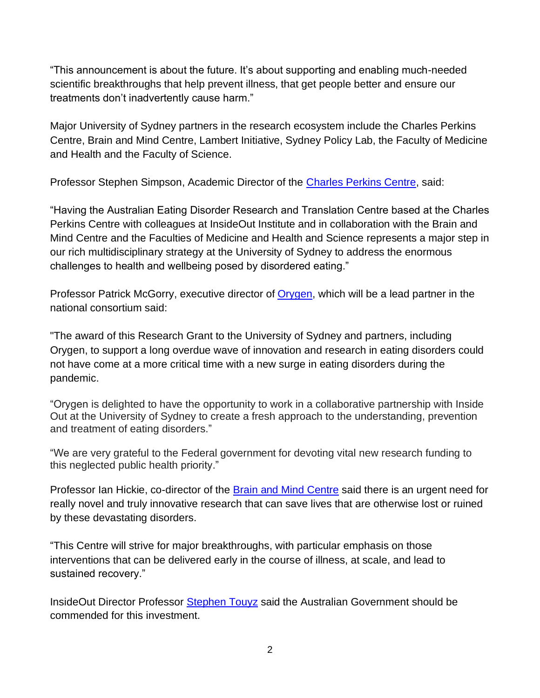"This announcement is about the future. It's about supporting and enabling much-needed scientific breakthroughs that help prevent illness, that get people better and ensure our treatments don't inadvertently cause harm."

Major University of Sydney partners in the research ecosystem include the Charles Perkins Centre, Brain and Mind Centre, Lambert Initiative, Sydney Policy Lab, the Faculty of Medicine and Health and the Faculty of Science.

Professor Stephen Simpson, Academic Director of the [Charles Perkins Centre,](https://www.sydney.edu.au/charles-perkins-centre/) said:

"Having the Australian Eating Disorder Research and Translation Centre based at the Charles Perkins Centre with colleagues at InsideOut Institute and in collaboration with the Brain and Mind Centre and the Faculties of Medicine and Health and Science represents a major step in our rich multidisciplinary strategy at the University of Sydney to address the enormous challenges to health and wellbeing posed by disordered eating."

Professor Patrick McGorry, executive director of [Orygen,](https://www.orygen.org.au/) which will be a lead partner in the national consortium said:

"The award of this Research Grant to the University of Sydney and partners, including Orygen, to support a long overdue wave of innovation and research in eating disorders could not have come at a more critical time with a new surge in eating disorders during the pandemic.

"Orygen is delighted to have the opportunity to work in a collaborative partnership with Inside Out at the University of Sydney to create a fresh approach to the understanding, prevention and treatment of eating disorders."

"We are very grateful to the Federal government for devoting vital new research funding to this neglected public health priority."

Professor Ian Hickie, co-director of the [Brain and Mind Centre](https://www.sydney.edu.au/brain-mind/) said there is an urgent need for really novel and truly innovative research that can save lives that are otherwise lost or ruined by these devastating disorders.

"This Centre will strive for major breakthroughs, with particular emphasis on those interventions that can be delivered early in the course of illness, at scale, and lead to sustained recovery."

InsideOut Director Professor [Stephen Touyz](https://insideoutinstitute.org.au/team/professor-stephen-touyz) said the Australian Government should be commended for this investment.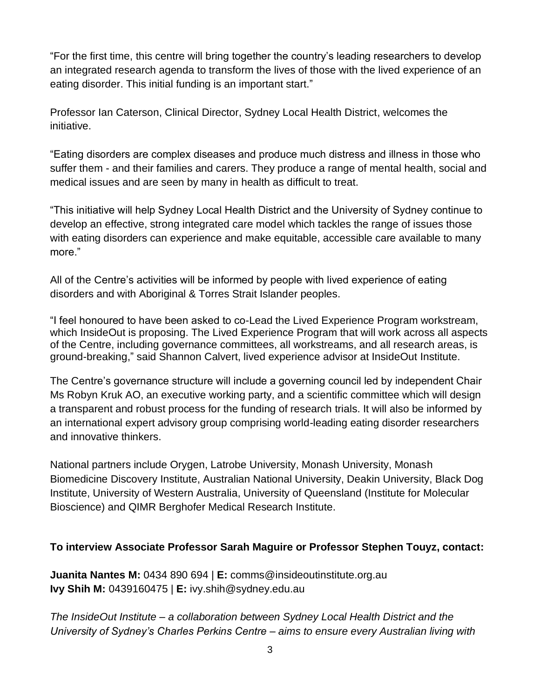"For the first time, this centre will bring together the country's leading researchers to develop an integrated research agenda to transform the lives of those with the lived experience of an eating disorder. This initial funding is an important start."

Professor Ian Caterson, Clinical Director, Sydney Local Health District, welcomes the initiative.

"Eating disorders are complex diseases and produce much distress and illness in those who suffer them - and their families and carers. They produce a range of mental health, social and medical issues and are seen by many in health as difficult to treat.

"This initiative will help Sydney Local Health District and the University of Sydney continue to develop an effective, strong integrated care model which tackles the range of issues those with eating disorders can experience and make equitable, accessible care available to many more."

All of the Centre's activities will be informed by people with lived experience of eating disorders and with Aboriginal & Torres Strait Islander peoples.

"I feel honoured to have been asked to co-Lead the Lived Experience Program workstream, which InsideOut is proposing. The Lived Experience Program that will work across all aspects of the Centre, including governance committees, all workstreams, and all research areas, is ground-breaking," said Shannon Calvert, lived experience advisor at InsideOut Institute.

The Centre's governance structure will include a governing council led by independent Chair Ms Robyn Kruk AO, an executive working party, and a scientific committee which will design a transparent and robust process for the funding of research trials. It will also be informed by an international expert advisory group comprising world-leading eating disorder researchers and innovative thinkers.

National partners include Orygen, Latrobe University, Monash University, Monash Biomedicine Discovery Institute, Australian National University, Deakin University, Black Dog Institute, University of Western Australia, University of Queensland (Institute for Molecular Bioscience) and QIMR Berghofer Medical Research Institute.

## **To interview Associate Professor Sarah Maguire or Professor Stephen Touyz, contact:**

**Juanita Nantes M:** 0434 890 694 | **E:** comms@insideoutinstitute.org.au **Ivy Shih M:** 0439160475 | **E:** ivy.shih@sydney.edu.au

*The InsideOut Institute – a collaboration between Sydney Local Health District and the University of Sydney's Charles Perkins Centre – aims to ensure every Australian living with*